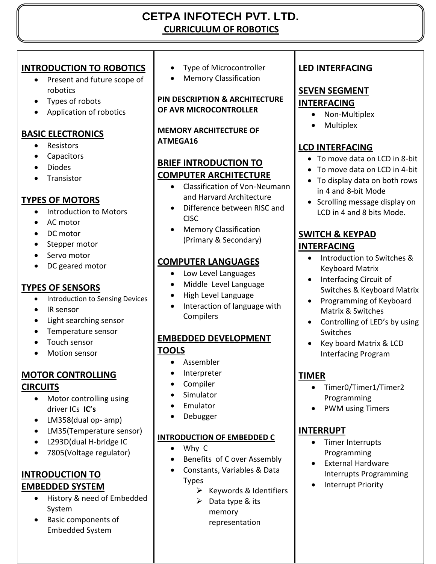# **CETPA INFOTECH PVT. LTD. CURRICULUM OF ROBOTICS**

### **INTRODUCTION TO ROBOTICS**

- Present and future scope of robotics
- Types of robots
- Application of robotics

# **BASIC ELECTRONICS**

- Resistors
- Capacitors
- Diodes
- **•** Transistor

### **TYPES OF MOTORS**

- Introduction to Motors
- AC motor
- DC motor
- Stepper motor
- Servo motor
- DC geared motor

# **TYPES OF SENSORS**

- Introduction to Sensing Devices
- IR sensor
- Light searching sensor
- Temperature sensor
- Touch sensor
- Motion sensor

### **MOTOR CONTROLLING CIRCUITS**

- Motor controlling using driver ICs **IC's**
- LM358(dual op- amp)
- LM35(Temperature sensor)
- L293D(dual H-bridge IC
- 7805(Voltage regulator)

# **INTRODUCTION TO EMBEDDED SYSTEM**

- History & need of Embedded System
- Basic components of Embedded System

• Type of Microcontroller

• Memory Classification

**PIN DESCRIPTION & ARCHITECTURE OF AVR MICROCONTROLLER**

**MEMORY ARCHITECTURE OF ATMEGA16**

### **BRIEF INTRODUCTION TO COMPUTER ARCHITECTURE**

- Classification of Von-Neumann and Harvard Architecture
- Difference between RISC and CISC
- Memory Classification (Primary & Secondary)

# **COMPUTER LANGUAGES**

- Low Level Languages
- Middle Level Language
- High Level Language
- Interaction of language with **Compilers**

### **EMBEDDED DEVELOPMENT TOOLS**

- Assembler
- Interpreter
- Compiler
- Simulator
- Emulator
- Debugger

### **INTRODUCTION OF EMBEDDED C**

- Why C
- Benefits of C over Assembly
- Constants, Variables & Data Types
	- $\triangleright$  Keywords & Identifiers
		- $\triangleright$  Data type & its memory
			- representation

# **LED INTERFACING**

# **SEVEN SEGMENT**

### **INTERFACING**  • Non-Multiplex

• Multiplex

# **LCD INTERFACING**

- To move data on LCD in 8-bit
- To move data on LCD in 4-bit
- To display data on both rows in 4 and 8-bit Mode
- Scrolling message display on LCD in 4 and 8 bits Mode.

### **SWITCH & KEYPAD INTERFACING**

- Introduction to Switches & Keyboard Matrix
- Interfacing Circuit of Switches & Keyboard Matrix
- Programming of Keyboard Matrix & Switches
- Controlling of LED's by using Switches
- Key board Matrix & LCD Interfacing Program

# **TIMER**

- Timer0/Timer1/Timer2 Programming
- PWM using Timers

### **INTERRUPT**

- Timer Interrupts Programming
- External Hardware Interrupts Programming
- Interrupt Priority